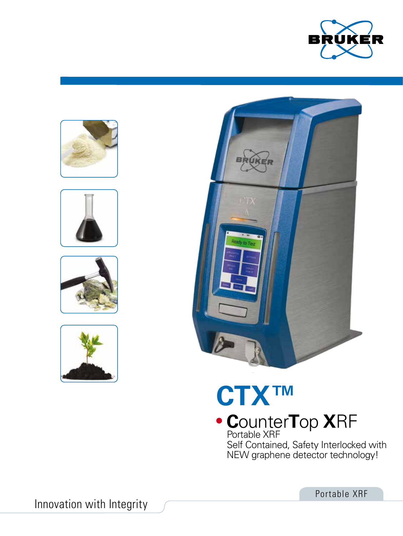











# **CTX™ C**ounter**T**op **X**RF

Portable XRF Self Contained, Safety Interlocked with NEW graphene detector technology!

Portable XRF

Innovation with Integrity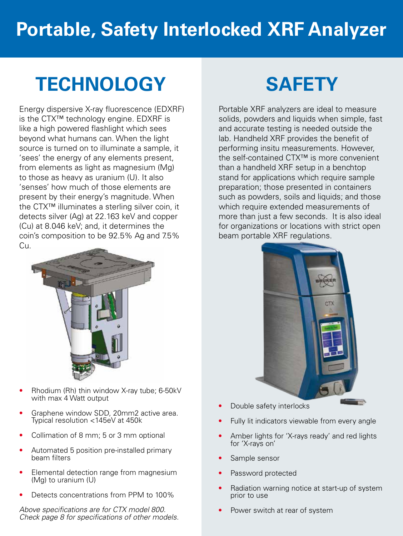## **Portable, Safety Interlocked XRF Analyzer**

## **TECHNOLOGY SAFETY**

Energy dispersive X-ray fluorescence (EDXRF) is the CTX™ technology engine. EDXRF is like a high powered flashlight which sees beyond what humans can. When the light source is turned on to illuminate a sample, it 'sees' the energy of any elements present, from elements as light as magnesium (Mg) to those as heavy as uranium (U). It also 'senses' how much of those elements are present by their energy's magnitude. When the CTX™ illuminates a sterling silver coin, it detects silver (Ag) at 22.163 keV and copper (Cu) at 8.046 keV; and, it determines the coin's composition to be 92.5% Ag and 7.5% Cu.



- Rhodium (Rh) thin window X-ray tube; 6-50kV with max 4 Watt output
- Graphene window SDD, 20mm2 active area. Typical resolution <145eV at 450k
- Collimation of 8 mm; 5 or 3 mm optional
- Automated 5 position pre-installed primary beam filters
- Elemental detection range from magnesium (Mg) to uranium (U)
- Detects concentrations from PPM to 100%

*Above specifications are for CTX model 800. Check page 8 for specifications of other models.*

Portable XRF analyzers are ideal to measure solids, powders and liquids when simple, fast and accurate testing is needed outside the lab. Handheld XRF provides the benefit of performing insitu measurements. However, the self-contained CTX™ is more convenient than a handheld XRF setup in a benchtop stand for applications which require sample preparation; those presented in containers such as powders, soils and liquids; and those which require extended measurements of more than just a few seconds. It is also ideal for organizations or locations with strict open beam portable XRF regulations.



- Double safety interlocks
- Fully lit indicators viewable from every angle
- Amber lights for 'X-rays ready' and red lights for 'X-rays on'
- Sample sensor
- Password protected
- Radiation warning notice at start-up of system prior to use
- Power switch at rear of system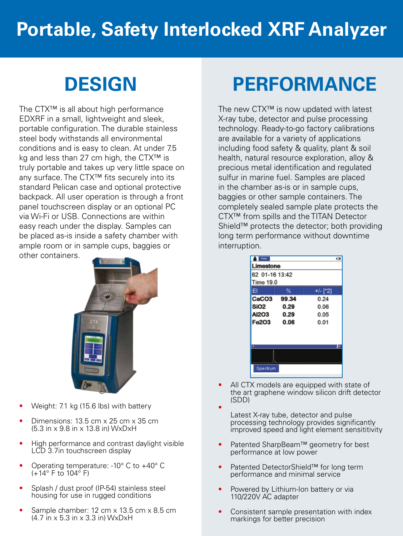## **Portable, Safety Interlocked XRF Analyzer**

The CTX™ is all about high performance EDXRF in a small, lightweight and sleek, portable configuration. The durable stainless steel body withstands all environmental conditions and is easy to clean. At under 7.5 kg and less than 27 cm high, the CTX™ is truly portable and takes up very little space on any surface. The CTX™ fits securely into its standard Pelican case and optional protective backpack. All user operation is through a front panel touchscreen display or an optional PC via Wi-Fi or USB. Connections are within easy reach under the display. Samples can be placed as-is inside a safety chamber with ample room or in sample cups, baggies or other containers.



- Weight: 7.1 kg (15.6 lbs) with battery
- Dimensions: 13.5 cm x 25 cm x 35 cm (5.3 in x 9.8 in x 13.8 in) WxDxH
- High performance and contrast daylight visible LCD 3.7in touchscreen display
- Operating temperature: -10° C to +40° C (+14° F to 104° F)
- Splash / dust proof (IP-54) stainless steel housing for use in rugged conditions
- Sample chamber: 12 cm x 13.5 cm x 8.5 cm (4.7 in x 5.3 in x 3.3 in) WxDxH

## **DESIGN PERFORMANCE**

The new CTX™ is now updated with latest X-ray tube, detector and pulse processing technology. Ready-to-go factory calibrations are available for a variety of applications including food safety & quality, plant & soil health, natural resource exploration, alloy & precious metal identification and regulated sulfur in marine fuel. Samples are placed in the chamber as-is or in sample cups, baggies or other sample containers. The completely sealed sample plate protects the CTX™ from spills and the TITAN Detector Shield™ protects the detector; both providing long term performance without downtime interruption.

| Post              |       |          |  |  |  |  |
|-------------------|-------|----------|--|--|--|--|
| Limestone         |       |          |  |  |  |  |
| 62 01-16 13:42    |       |          |  |  |  |  |
| Time 19.0         |       |          |  |  |  |  |
| EI                | %     | +/- [*2] |  |  |  |  |
| CaCO <sub>3</sub> | 99.34 | 0.24     |  |  |  |  |
| SiO <sub>2</sub>  | 0.29  | 0.06     |  |  |  |  |
| <b>AI2O3</b>      | 0.29  | 0.05     |  |  |  |  |
| Fe203             | 0.06  | 0.01     |  |  |  |  |
|                   |       |          |  |  |  |  |
|                   |       |          |  |  |  |  |
|                   |       |          |  |  |  |  |
|                   |       |          |  |  |  |  |
| Spectrum          |       |          |  |  |  |  |

- All CTX models are equipped with state of the art graphene window silicon drift detector (SDD)
	- Latest X-ray tube, detector and pulse processing technology provides significantly improved speed and light element sensititivity
- Patented SharpBeam™ geometry for best performance at low power
- Patented DetectorShield™ for long term performance and minimal service
- Powered by Lithium-Ion battery or via 110/220V AC adapter
- Consistent sample presentation with index markings for better precision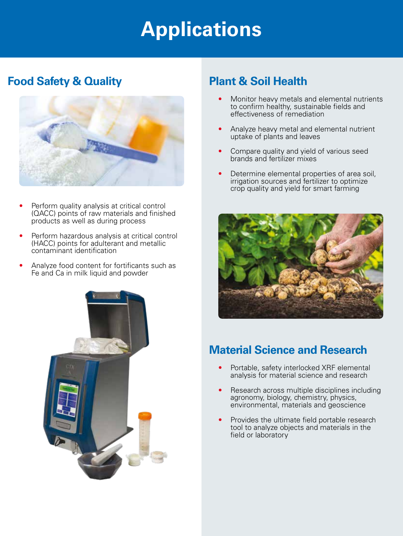## **Applications**

### **Food Safety & Quality Plant & Soil Health**



- Perform quality analysis at critical control (QACC) points of raw materials and finished products as well as during process
- Perform hazardous analysis at critical control (HACC) points for adulterant and metallic contaminant identification
- Analyze food content for fortificants such as Fe and Ca in milk liquid and powder



- Monitor heavy metals and elemental nutrients to confirm healthy, sustainable fields and effectiveness of remediation
- Analyze heavy metal and elemental nutrient uptake of plants and leaves
- Compare quality and yield of various seed brands and fertilizer mixes
- Determine elemental properties of area soil, irrigation sources and fertilizer to optimize crop quality and yield for smart farming



### **Material Science and Research**

- Portable, safety interlocked XRF elemental analysis for material science and research
- Research across multiple disciplines including agronomy, biology, chemistry, physics, environmental, materials and geoscience
- Provides the ultimate field portable research tool to analyze objects and materials in the field or laboratory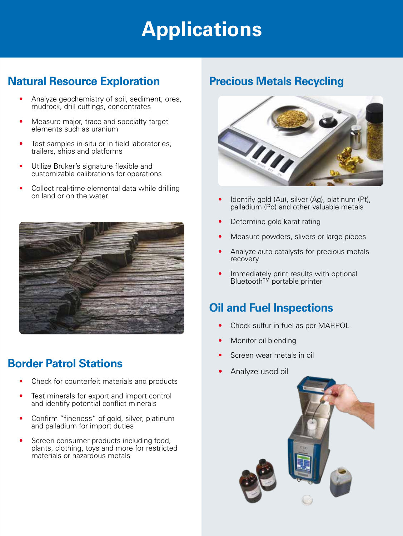## **Applications**

## **Natural Resource Exploration between Precious Metals Recycling**

- Analyze geochemistry of soil, sediment, ores, mudrock, drill cuttings, concentrates
- Measure major, trace and specialty target elements such as uranium
- Test samples in-situ or in field laboratories, trailers, ships and platforms
- Utilize Bruker's signature flexible and customizable calibrations for operations
- Collect real-time elemental data while drilling on land or on the water



## **Border Patrol Stations**

- Check for counterfeit materials and products
- Test minerals for export and import control and identify potential conflict minerals
- Confirm "fineness" of gold, silver, platinum and palladium for import duties
- Screen consumer products including food, plants, clothing, toys and more for restricted materials or hazardous metals



- Identify gold (Au), silver (Ag), platinum (Pt), palladium (Pd) and other valuable metals
- Determine gold karat rating
- Measure powders, slivers or large pieces
- Analyze auto-catalysts for precious metals recovery
- Immediately print results with optional Bluetooth™ portable printer

## **Oil and Fuel Inspections**

- Check sulfur in fuel as per MARPOL
- Monitor oil blending
- Screen wear metals in oil
- Analyze used oil

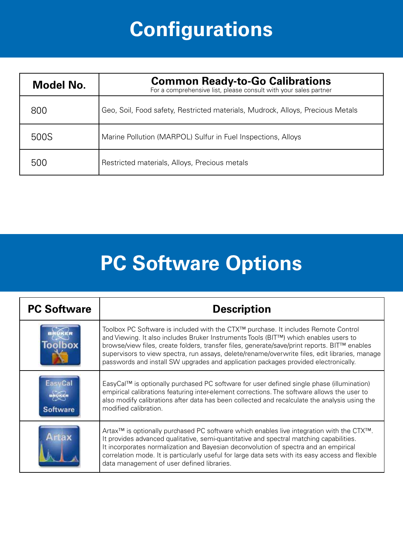# **Configurations**

| Model No. | <b>Common Ready-to-Go Calibrations</b><br>For a comprehensive list, please consult with your sales partner |  |  |
|-----------|------------------------------------------------------------------------------------------------------------|--|--|
| 800       | Geo, Soil, Food safety, Restricted materials, Mudrock, Alloys, Precious Metals                             |  |  |
| 500S      | Marine Pollution (MARPOL) Sulfur in Fuel Inspections, Alloys                                               |  |  |
| 500       | Restricted materials, Alloys, Precious metals                                                              |  |  |

# **PC Software Options**

| <b>PC Software</b> | <b>Description</b>                                                                                                                                                                                                                                                                                                                                                                                                                                                              |  |  |
|--------------------|---------------------------------------------------------------------------------------------------------------------------------------------------------------------------------------------------------------------------------------------------------------------------------------------------------------------------------------------------------------------------------------------------------------------------------------------------------------------------------|--|--|
|                    | Toolbox PC Software is included with the CTX™ purchase. It includes Remote Control<br>and Viewing. It also includes Bruker Instruments Tools (BIT™) which enables users to<br>browse/view files, create folders, transfer files, generate/save/print reports. BIT <sup>™</sup> enables<br>supervisors to view spectra, run assays, delete/rename/overwrite files, edit libraries, manage<br>passwords and install SW upgrades and application packages provided electronically. |  |  |
| <b>Software</b>    | EasyCal™ is optionally purchased PC software for user defined single phase (illumination)<br>empirical calibrations featuring inter-element corrections. The software allows the user to<br>also modify calibrations after data has been collected and recalculate the analysis using the<br>modified calibration.                                                                                                                                                              |  |  |
|                    | Artax <sup>TM</sup> is optionally purchased PC software which enables live integration with the $CTX^{TM}$ .<br>It provides advanced qualitative, semi-quantitative and spectral matching capabilities.<br>It incorporates normalization and Bayesian deconvolution of spectra and an empirical<br>correlation mode. It is particularly useful for large data sets with its easy access and flexible<br>data management of user defined libraries.                              |  |  |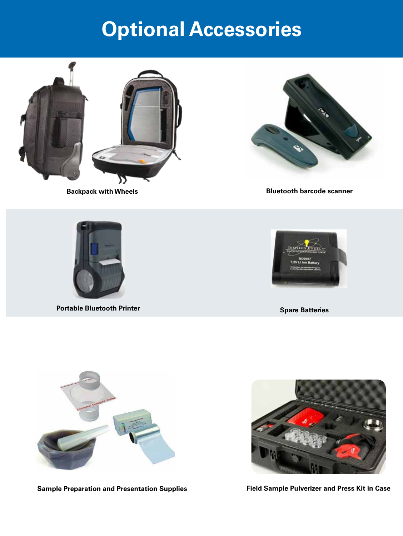## **Optional Accessories**





**Backpack with Wheels Bluetooth barcode scanner** 



**Portable Bluetooth Printer Spare Batteries Spare Batteries Spare Batteries** 





**Sample Preparation and Presentation Supplies**



**Field Sample Pulverizer and Press Kit in Case**